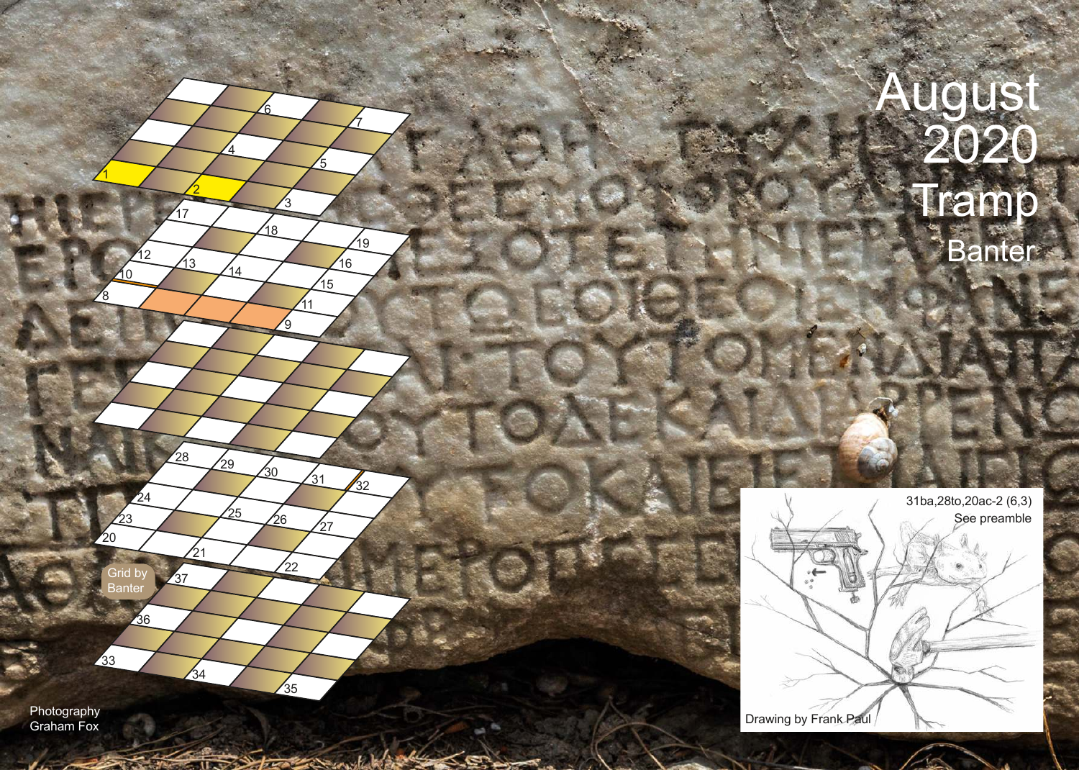



Photography

Graham Fox

Grid by **Banter** 

36

23

**24** 

 $\sqrt{28}$ 

 $\frac{1}{21}$ 

37

 $\frac{1}{34}$ 

 $-11$ 

 $\mathbf{z}_0$ 

33

1

8

10

2

 $47$ 

4

 $\frac{1}{4}$ 

25

 $\frac{1}{29}$ 

 $12$   $13$   $14$   $16$ 

3

 $\frac{1}{18}$ 

 $\mathcal{P}$ 

 $\frac{1}{22}$ 

 $\frac{1}{35}$ 

treater with

 $\mathfrak{z}_0$ 

 $\sqrt{26}$ 

 $\sqrt{27}$ 

 $'31$ 

32

 $\leq$ e

 $11$ 

 $6$ 

 $\overline{5}$ 

 $15$ 

7

19